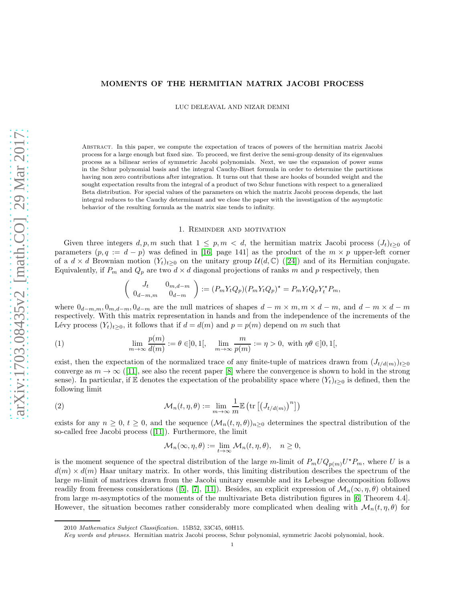# MOMENTS OF THE HERMITIAN MATRIX JACOBI PROCESS

LUC DELEAVAL AND NIZAR DEMNI

Abstract. In this paper, we compute the expectation of traces of powers of the hermitian matrix Jacobi process for a large enough but fixed size. To proceed, we first derive the semi-group density of its eigenvalues process as a bilinear series of symmetric Jacobi polynomials. Next, we use the expansion of power sums in the Schur polynomial basis and the integral Cauchy-Binet formula in order to determine the partitions having non zero contributions after integration. It turns out that these are hooks of bounded weight and the sought expectation results from the integral of a product of two Schur functions with respect to a generalized Beta distribution. For special values of the parameters on which the matrix Jacobi process depends, the last integral reduces to the Cauchy determinant and we close the paper with the investigation of the asymptotic behavior of the resulting formula as the matrix size tends to infinity.

### 1. Reminder and motivation

Given three integers  $d, p, m$  such that  $1 \leq p, m < d$ , the hermitian matrix Jacobi process  $(J_t)_{t>0}$  of parameters  $(p, q := d - p)$  was defined in [\[16,](#page-12-0) page 141] as the product of the  $m \times p$  upper-left corner ofa  $d \times d$  Brownian motion  $(Y_t)_{t>0}$  on the unitary group  $\mathcal{U}(d,\mathbb{C})$  ([\[24\]](#page-12-1)) and of its Hermitian conjugate. Equivalently, if  $P_m$  and  $Q_p$  are two  $d \times d$  diagonal projections of ranks m and p respectively, then

<span id="page-0-1"></span>
$$
\begin{pmatrix} J_t & 0_{m,d-m} \\ 0_{d-m,m} & 0_{d-m} \end{pmatrix} := (P_m Y_t Q_p)(P_m Y_t Q_p)^* = P_m Y_t Q_p Y_t^* P_m,
$$

where  $0_{d-m,m}, 0_{m,d-m}, 0_{d-m}$  are the null matrices of shapes  $d-m \times m, m \times d-m$ , and  $d-m \times d-m$ respectively. With this matrix representation in hands and from the independence of the increments of the Lévy process  $(Y_t)_{t\geq0}$ , it follows that if  $d = d(m)$  and  $p = p(m)$  depend on m such that

(1) 
$$
\lim_{m \to \infty} \frac{p(m)}{d(m)} := \theta \in ]0,1[, \quad \lim_{m \to \infty} \frac{m}{p(m)} := \eta > 0, \text{ with } \eta \theta \in ]0,1[,
$$

exist, then the expectation of the normalized trace of any finite-tuple of matrices drawn from  $(J_{t/d(m)})_{t\geq0}$ converge as  $m \to \infty$  ([\[11\]](#page-12-2), see also the recent paper [\[8\]](#page-12-3) where the convergence is shown to hold in the strong sense). In particular, if E denotes the expectation of the probability space where  $(Y_t)_{t\geq 0}$  is defined, then the following limit

(2) 
$$
\mathcal{M}_n(t,\eta,\theta) := \lim_{m \to \infty} \frac{1}{m} \mathbb{E} \left( \text{tr} \left[ \left( J_{t/d(m)} \right)^n \right] \right)
$$

exists for any  $n \geq 0$ ,  $t \geq 0$ , and the sequence  $(\mathcal{M}_n(t, \eta, \theta))_{n>0}$  determines the spectral distribution of the so-called free Jacobi process([\[11\]](#page-12-2)). Furthermore, the limit

<span id="page-0-0"></span>
$$
\mathcal{M}_n(\infty, \eta, \theta) := \lim_{t \to \infty} \mathcal{M}_n(t, \eta, \theta), \quad n \ge 0,
$$

is the moment sequence of the spectral distribution of the large m-limit of  $P_m U Q_{p(m)} U^* P_m$ , where U is a  $d(m) \times d(m)$  Haar unitary matrix. In other words, this limiting distribution describes the spectrum of the large m-limit of matrices drawn from the Jacobi unitary ensemble and its Lebesgue decomposition follows readilyfrom freeness considerations ([\[5\]](#page-12-4), [\[7\]](#page-12-5), [\[11\]](#page-12-2)). Besides, an explicit expression of  $\mathcal{M}_n(\infty, \eta, \theta)$  obtained from large m-asymptotics of the moments of the multivariate Beta distribution figures in [\[6,](#page-12-6) Theorem 4.4]. However, the situation becomes rather considerably more complicated when dealing with  $\mathcal{M}_n(t, \eta, \theta)$  for

<sup>2010</sup> *Mathematics Subject Classification.* 15B52, 33C45, 60H15.

*Key words and phrases.* Hermitian matrix Jacobi process, Schur polynomial, symmetric Jacobi polynomial, hook.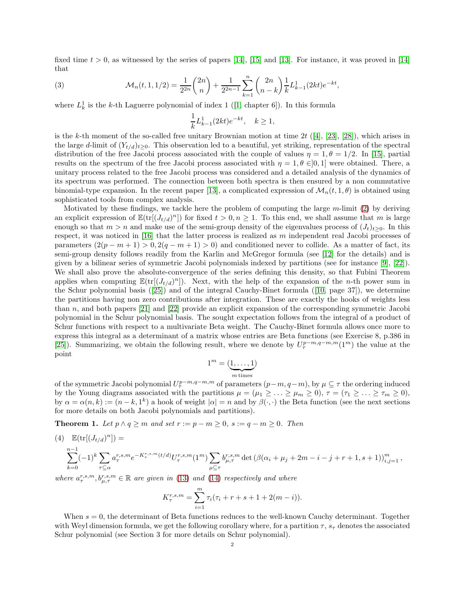fixed time  $t > 0$ , as witnessed by the series of papers [\[14\]](#page-12-7), [\[15\]](#page-12-8) and [\[13\]](#page-12-9). For instance, it was proved in [14] that

<span id="page-1-2"></span>(3) 
$$
\mathcal{M}_n(t, 1, 1/2) = \frac{1}{2^{2n}} \binom{2n}{n} + \frac{1}{2^{2n-1}} \sum_{k=1}^n \binom{2n}{n-k} \frac{1}{k} L^1_{k-1}(2kt) e^{-kt},
$$

where $L_k^1$  is the k-th Laguerre polynomial of index 1 ([\[1,](#page-12-10) chapter 6]). In this formula

$$
\frac{1}{k}L_{k-1}^1(2kt)e^{-kt}, \quad k \ge 1,
$$

is the k-th moment of the so-called free unitary Brownian motion at time  $2t$  ([\[4\]](#page-12-11), [\[23\]](#page-12-12), [\[28\]](#page-12-13)), which arises in the large d-limit of  $(Y_{t/d})_{t>0}$ . This observation led to a beautiful, yet striking, representation of the spectral distribution of the free Jacobi process associated with the couple of values  $\eta = 1, \theta = 1/2$ . In [\[15\]](#page-12-8), partial results on the spectrum of the free Jacobi process associated with  $\eta = 1, \theta \in ]0,1]$  were obtained. There, a unitary process related to the free Jacobi process was considered and a detailed analysis of the dynamics of its spectrum was performed. The connection between both spectra is then ensured by a non commutative binomial-type expansion. In the recent paper [\[13\]](#page-12-9), a complicated expression of  $\mathcal{M}_n(t, 1, \theta)$  is obtained using sophisticated tools from complex analysis.

Motivated by these findings, we tackle here the problem of computing the large  $m$ -limit [\(2\)](#page-0-0) by deriving an explicit expression of  $\mathbb{E}(\text{tr}[(J_{t/d})^n])$  for fixed  $t > 0, n \ge 1$ . To this end, we shall assume that m is large enough so that  $m > n$  and make use of the semi-group density of the eigenvalues process of  $(J_t)_{t>0}$ . In this respect, it was noticed in [\[16\]](#page-12-0) that the latter process is realized as m independent real Jacobi processes of parameters  $(2(p - m + 1) > 0, 2(q - m + 1) > 0)$  and conditioned never to collide. As a matter of fact, its semi-group density follows readily from the Karlin and McGregor formula (see [\[12\]](#page-12-14) for the details) and is given by a bilinear series of symmetric Jacobi polynomials indexed by partitions (see for instance [\[9\]](#page-12-15), [\[22\]](#page-12-16)). We shall also prove the absolute-convergence of the series defining this density, so that Fubini Theorem applies when computing  $\mathbb{E}(\text{tr}[(J_{t/d})^n])$ . Next, with the help of the expansion of the *n*-th power sum in the Schur polynomial basis([\[25\]](#page-12-17)) and of the integral Cauchy-Binet formula([\[10,](#page-12-18) page 37]), we determine the partitions having non zero contributions after integration. These are exactly the hooks of weights less than n, and both papers [\[21\]](#page-12-19) and [\[22\]](#page-12-16) provide an explicit expansion of the corresponding symmetric Jacobi polynomial in the Schur polynomial basis. The sought expectation follows from the integral of a product of Schur functions with respect to a multivariate Beta weight. The Cauchy-Binet formula allows once more to express this integral as a determinant of a matrix whose entries are Beta functions (see Exercise 8, p.386 in [\[25\]](#page-12-17)). Summarizing, we obtain the following result, where we denote by  $U_{\tau}^{p-m,q-m,m}(1^m)$  the value at the point

$$
\mathbf{1}^m = (\underbrace{1,\ldots,1}_{m\,\mathrm{times}})
$$

of the symmetric Jacobi polynomial  $U_{\tau}^{p-m,q-m,m}$  of parameters  $(p-m,q-m)$ , by  $\mu \subseteq \tau$  the ordering induced by the Young diagrams associated with the partitions  $\mu = (\mu_1 \geq \ldots \geq \mu_m \geq 0), \tau = (\tau_1 \geq \ldots \geq \tau_m \geq 0)$ , by  $\alpha = \alpha(n,k) := (n-k,1^k)$  a hook of weight  $|\alpha| = n$  and by  $\beta(\cdot,\cdot)$  the Beta function (see the next sections for more details on both Jacobi polynomials and partitions).

<span id="page-1-1"></span>**Theorem 1.** Let  $p \wedge q \ge m$  and set  $r := p - m \ge 0$ ,  $s := q - m \ge 0$ . Then

<span id="page-1-0"></span>(4) 
$$
\mathbb{E}(\text{tr}[(J_{t/d})^n]) =
$$
  
\n
$$
\sum_{k=0}^{n-1} (-1)^k \sum_{\tau \subseteq \alpha} a_{\tau}^{r,s,m} e^{-K_{\tau}^{r,s,m}(t/d)} U_{\tau}^{r,s,m} (1^m) \sum_{\mu \subseteq \tau} b_{\mu,\tau}^{r,s,m} \det (\beta(\alpha_i + \mu_j + 2m - i - j + r + 1, s + 1))_{i,j=1}^m,
$$

where  $a_{\tau}^{r,s,m}, b_{\mu,\tau}^{r,s,m} \in \mathbb{R}$  are given in [\(13\)](#page-8-0) and [\(14\)](#page-8-0) respectively and where

$$
K_{\tau}^{r,s,m} = \sum_{i=1}^{m} \tau_i (\tau_i + r + s + 1 + 2(m - i)).
$$

When  $s = 0$ , the determinant of Beta functions reduces to the well-known Cauchy determinant. Together with Weyl dimension formula, we get the following corollary where, for a partition  $\tau$ ,  $s_{\tau}$  denotes the associated Schur polynomial (see Section 3 for more details on Schur polynomial).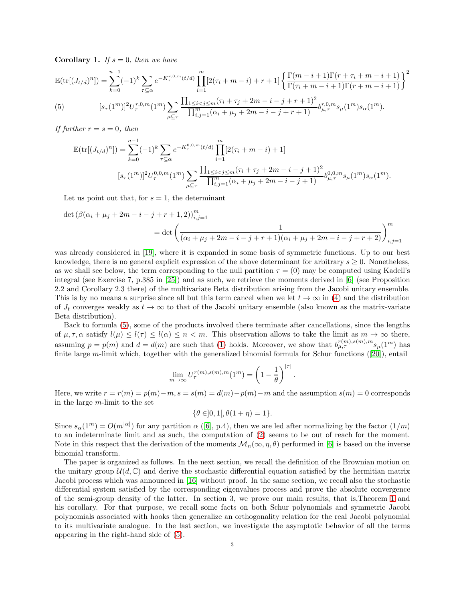<span id="page-2-1"></span>**Corollary 1.** If  $s = 0$ , then we have

$$
\mathbb{E}(\text{tr}[(J_{t/d})^n]) = \sum_{k=0}^{n-1} (-1)^k \sum_{\tau \subseteq \alpha} e^{-K_{\tau}^{r,0,m}(t/d)} \prod_{i=1}^m [2(\tau_i + m - i) + r + 1] \left\{ \frac{\Gamma(m - i + 1)\Gamma(r + \tau_i + m - i + 1)}{\Gamma(\tau_i + m - i + 1)\Gamma(r + m - i + 1)} \right\}^2
$$
\n(5)\n
$$
[s_{\tau}(1^m)]^2 U_{\tau}^{r,0,m}(1^m) \sum_{\mu \subseteq \tau} \frac{\prod_{1 \le i < j \le m} (\tau_i + \tau_j + 2m - i - j + r + 1)^2}{\prod_{i,j=1}^m (\alpha_i + \mu_j + 2m - i - j + r + 1)} b_{\mu,\tau}^{r,0,m} s_{\mu}(1^m) s_{\alpha}(1^m).
$$

<span id="page-2-0"></span>If further  $r = s = 0$ , then

$$
\mathbb{E}(\text{tr}[(J_{t/d})^n]) = \sum_{k=0}^{n-1} (-1)^k \sum_{\tau \subseteq \alpha} e^{-K_{\tau}^{0,0,m}(t/d)} \prod_{i=1}^m [2(\tau_i + m - i) + 1]
$$
  

$$
[s_{\tau}(1^m)]^2 U_{\tau}^{0,0,m}(1^m) \sum_{\mu \subseteq \tau} \frac{\prod_{1 \le i < j \le m} (\tau_i + \tau_j + 2m - i - j + 1)^2}{\prod_{i,j=1}^m (\alpha_i + \mu_j + 2m - i - j + 1)} b_{\mu,\tau}^{0,0,m} s_{\mu}(1^m) s_{\alpha}(1^m).
$$

Let us point out that, for  $s = 1$ , the determinant

$$
\det (\beta(\alpha_i + \mu_j + 2m - i - j + r + 1, 2))_{i,j=1}^m
$$
  
= 
$$
\det \left( \frac{1}{(\alpha_i + \mu_j + 2m - i - j + r + 1)(\alpha_i + \mu_j + 2m - i - j + r + 2)} \right)_{i,j=1}^m
$$

was already considered in [\[19\]](#page-12-20), where it is expanded in some basis of symmetric functions. Up to our best knowledge, there is no general explicit expression of the above determinant for arbitrary  $s \geq 0$ . Nonetheless, as we shall see below, the term corresponding to the null partition  $\tau = (0)$  may be computed using Kadell's integral (see Exercise 7, p.385 in [\[25\]](#page-12-17)) and as such, we retrieve the moments derived in [\[6\]](#page-12-6) (see Proposition 2.2 and Corollary 2.3 there) of the multivariate Beta distribution arising from the Jacobi unitary ensemble. This is by no means a surprise since all but this term cancel when we let  $t \to \infty$  in [\(4\)](#page-1-0) and the distribution of  $J_t$  converges weakly as  $t \to \infty$  to that of the Jacobi unitary ensemble (also known as the matrix-variate Beta distribution).

Back to formula [\(5\)](#page-2-0), some of the products involved there terminate after cancellations, since the lengths of  $\mu, \tau, \alpha$  satisfy  $l(\mu) \leq l(\tau) \leq l(\alpha) \leq n < m$ . This observation allows to take the limit as  $m \to \infty$  there, assuming  $p = p(m)$  and  $d = d(m)$  are such that [\(1\)](#page-0-1) holds. Moreover, we show that  $b_{\mu,\tau}^{(m),s(m),m} s_{\mu}(1^m)$  has finite large m-limit which, together with the generalized binomial formula for Schur functions([\[20\]](#page-12-21)), entail

$$
\lim_{m \to \infty} U_{\tau}^{r(m),s(m),m}(1^m) = \left(1 - \frac{1}{\theta}\right)^{|\tau|}
$$

.

Here, we write  $r = r(m) = p(m) - m$ ,  $s = s(m) = d(m) - p(m) - m$  and the assumption  $s(m) = 0$  corresponds in the large m-limit to the set

$$
\{\theta \in ]0,1[,\theta(1+\eta)=1\}.
$$

Since  $s_{\alpha}(1^m) = O(m^{|\alpha|})$  for any partition  $\alpha$  ([\[6\]](#page-12-6), p.4), then we are led after normalizing by the factor  $(1/m)$ to an indeterminate limit and as such, the computation of [\(2\)](#page-0-0) seems to be out of reach for the moment. Note in this respect that the derivation of the moments  $\mathcal{M}_n(\infty, \eta, \theta)$  performed in [\[6\]](#page-12-6) is based on the inverse binomial transform.

The paper is organized as follows. In the next section, we recall the definition of the Brownian motion on the unitary group  $\mathcal{U}(d,\mathbb{C})$  and derive the stochastic differential equation satisfied by the hermitian matrix Jacobi process which was announced in [\[16\]](#page-12-0) without proof. In the same section, we recall also the stochastic differential system satisfied by the corresponding eigenvalues process and prove the absolute convergence of the semi-group density of the latter. In section 3, we prove our main results, that is,Theorem [1](#page-1-1) and his corollary. For that purpose, we recall some facts on both Schur polynomials and symmetric Jacobi polynomials associated with hooks then generalize an orthogonality relation for the real Jacobi polynomial to its multivariate analogue. In the last section, we investigate the asymptotic behavior of all the terms appearing in the right-hand side of [\(5\)](#page-2-0).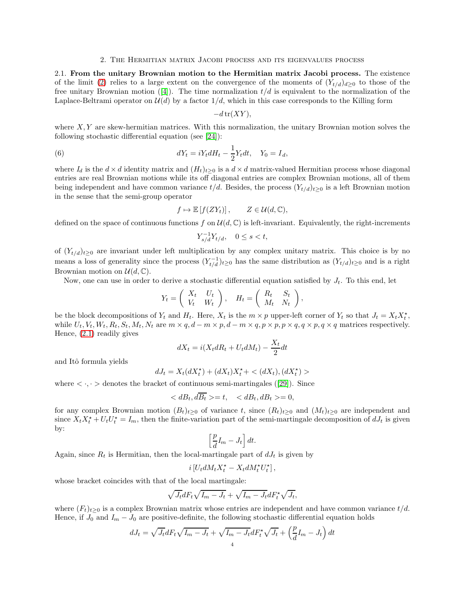### 2. The Hermitian matrix Jacobi process and its eigenvalues process

2.1. From the unitary Brownian motion to the Hermitian matrix Jacobi process. The existence of the limit [\(2\)](#page-0-0) relies to a large extent on the convergence of the moments of  $(Y_{t/d})_{d\geq 0}$  to those of the freeunitary Brownian motion ([\[4\]](#page-12-11)). The time normalization  $t/d$  is equivalent to the normalization of the Laplace-Beltrami operator on  $\mathcal{U}(d)$  by a factor  $1/d$ , which in this case corresponds to the Killing form

<span id="page-3-0"></span>
$$
-d\operatorname{tr}(XY),
$$

where  $X, Y$  are skew-hermitian matrices. With this normalization, the unitary Brownian motion solves the following stochastic differential equation (see [\[24\]](#page-12-1)):

(6) 
$$
dY_t = iY_t dH_t - \frac{1}{2}Y_t dt, \quad Y_0 = I_d,
$$

where  $I_d$  is the  $d \times d$  identity matrix and  $(H_t)_{t>0}$  is a  $d \times d$  matrix-valued Hermitian process whose diagonal entries are real Brownian motions while its off diagonal entries are complex Brownian motions, all of them being independent and have common variance  $t/d$ . Besides, the process  $(Y_{t/d})_{t\geq 0}$  is a left Brownian motion in the sense that the semi-group operator

$$
f \mapsto \mathbb{E}\left[f(ZY_t)\right], \qquad Z \in \mathcal{U}(d, \mathbb{C}),
$$

defined on the space of continuous functions f on  $\mathcal{U}(d,\mathbb{C})$  is left-invariant. Equivalently, the right-increments

$$
Y_{s/d}^{-1}Y_{t/d}, \quad 0 \le s < t,
$$

of  $(Y_{t/d})_{t\geq 0}$  are invariant under left multiplication by any complex unitary matrix. This choice is by no means a loss of generality since the process  $(Y_{t/d}^{-1})_{t\geq 0}$  has the same distribution as  $(Y_{t/d})_{t\geq 0}$  and is a right Brownian motion on  $\mathcal{U}(d,\mathbb{C})$ .

Now, one can use in order to derive a stochastic differential equation satisfied by  $J_t$ . To this end, let

$$
Y_t = \left(\begin{array}{cc} X_t & U_t \\ V_t & W_t \end{array}\right), \quad H_t = \left(\begin{array}{cc} R_t & S_t \\ M_t & N_t \end{array}\right),
$$

be the block decompositions of  $Y_t$  and  $H_t$ . Here,  $X_t$  is the  $m \times p$  upper-left corner of  $Y_t$  so that  $J_t = X_t X_t^*$ , while  $U_t, V_t, W_t, R_t, S_t, M_t, N_t$  are  $m \times q, d - m \times p, d - m \times q, p \times p, p \times q, q \times p, q \times q$  matrices respectively. Hence, [\(2.1\)](#page-3-0) readily gives

$$
dX_t = i(X_t dR_t + U_t dM_t) - \frac{X_t}{2} dt
$$

and Itˆo formula yields

$$
dJ_t = X_t(dX_t^{\star}) + (dX_t)X_t^{\star} + \langle (dX_t), (dX_t^{\star}) \rangle
$$

where $\langle \cdot, \cdot \rangle$  denotes the bracket of continuous semi-martingales ([\[29\]](#page-12-22)). Since

$$
\langle dB_t, d\overline{B_t}\rangle = t, \quad \langle dB_t, dB_t \rangle = 0,
$$

for any complex Brownian motion  $(B_t)_{t\geq0}$  of variance t, since  $(R_t)_{t\geq0}$  and  $(M_t)_{t\geq0}$  are independent and since  $X_t X_t^* + U_t U_t^* = I_m$ , then the finite-variation part of the semi-martingale decomposition of  $dJ_t$  is given by:

$$
\left[\frac{p}{d}I_m - J_t\right]dt.
$$

Again, since  $R_t$  is Hermitian, then the local-martingale part of  $dJ_t$  is given by

$$
i[U_t dM_t X_t^* - X_t dM_t^* U_t^*],
$$

whose bracket coincides with that of the local martingale:

$$
\sqrt{J_t}dF_t\sqrt{I_m-J_t}+\sqrt{I_m-J_t}dF_t^*\sqrt{J_t},
$$

where  $(F_t)_{t\geq0}$  is a complex Brownian matrix whose entries are independent and have common variance  $t/d$ . Hence, if  $J_0$  and  $I_m - J_0$  are positive-definite, the following stochastic differential equation holds

$$
dJ_t = \sqrt{J_t} dF_t \sqrt{I_m - J_t} + \sqrt{I_m - J_t} dF_t^* \sqrt{J_t} + \left(\frac{p}{d}I_m - J_t\right) dt
$$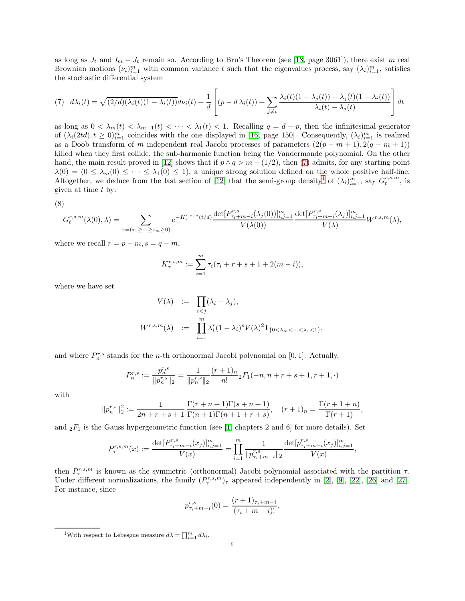as long as  $J_t$  and  $I_m - J_t$  remain so. According to Bru's Theorem (see [\[18,](#page-12-23) page 3061]), there exist m real Brownian motions  $(\nu_i)_{i=1}^m$  with common variance t such that the eigenvalues process, say  $(\lambda_i)_{i=1}^m$ , satisfies the stochastic differential system

<span id="page-4-0"></span>(7) 
$$
d\lambda_i(t) = \sqrt{(2/d)(\lambda_i(t)(1-\lambda_i(t))}d\nu_i(t) + \frac{1}{d}\left[ (p - d\lambda_i(t)) + \sum_{j \neq i} \frac{\lambda_i(t)(1-\lambda_j(t)) + \lambda_j(t)(1-\lambda_i(t))}{\lambda_i(t) - \lambda_j(t)} \right] dt
$$

as long as  $0 < \lambda_m(t) < \lambda_{m-1}(t) < \cdots < \lambda_1(t) < 1$ . Recalling  $q = d - p$ , then the infinitesimal generator of  $(\lambda_i(2td), t \geq 0)_{i=1}^m$  coincides with the one displayed in [\[16,](#page-12-0) page 150]. Consequently,  $(\lambda_i)_{i=1}^m$  is realized as a Doob transform of m independent real Jacobi processes of parameters  $(2(p - m + 1), 2(q - m + 1))$ killed when they first collide, the sub-harmonic function being the Vandermonde polynomial. On the other hand, the main result proved in [\[12\]](#page-12-14) shows that if  $p \wedge q > m - (1/2)$ , then [\(7\)](#page-4-0) admits, for any starting point  $\lambda(0) = (0 \leq \lambda_m(0) \leq \cdots \leq \lambda_1(0) \leq 1)$ , a unique strong solution defined on the whole positive half-line. Altogether, we deduce from the last section of [\[12\]](#page-12-14) that the semi-group density<sup>[1](#page-4-1)</sup> of  $(\lambda_i)_{i=1}^m$ , say  $G_i^{r,s,m}$ , is given at time t by:

<span id="page-4-2"></span>
$$
(8)
$$

$$
G_t^{r,s,m}(\lambda(0),\lambda) = \sum_{\tau = (\tau_1 \geq \dots \geq \tau_m \geq 0)} e^{-K_{\tau}^{r,s,m}(t/d)} \frac{\det[P_{\tau_i+m-i}^{r,s}(\lambda_j(0))]_{i,j=1}^m}{V(\lambda(0))} \frac{\det[P_{\tau_i+m-i}^{r,s}(\lambda_j)]_{i,j=1}^m}{V(\lambda)} W^{r,s,m}(\lambda),
$$

where we recall  $r = p - m$ ,  $s = q - m$ ,

$$
K_{\tau}^{r,s,m} := \sum_{i=1}^{m} \tau_i (\tau_i + r + s + 1 + 2(m - i)),
$$

where we have set

$$
V(\lambda) := \prod_{i < j} (\lambda_i - \lambda_j),
$$
\n
$$
W^{r,s,m}(\lambda) := \prod_{i=1}^m \lambda_i^r (1 - \lambda_i)^s V(\lambda)^2 \mathbf{1}_{\{0 < \lambda_m < \dots < \lambda_1 < 1\}},
$$

and where  $P_n^{r,s}$  stands for the *n*-th orthonormal Jacobi polynomial on [0, 1]. Actually,

$$
P_n^{r,s} := \frac{p_n^{r,s}}{\|p_n^{r,s}\|_2} = \frac{1}{\|p_n^{r,s}\|_2} \frac{(r+1)_n}{n!} {}_2F_1(-n, n+r+s+1, r+1, \cdot)
$$

with

$$
||p_n^{r,s}||_2^2 := \frac{1}{2n+r+s+1} \frac{\Gamma(r+n+1)\Gamma(s+n+1)}{\Gamma(n+1)\Gamma(n+1+r+s)}, \quad (r+1)_n = \frac{\Gamma(r+1+n)}{\Gamma(r+1)},
$$

and  ${}_2F_1$  is the Gauss hypergeometric function (see [\[1,](#page-12-10) chapters 2 and 6] for more details). Set

$$
P_{\tau}^{r,s,m}(x) := \frac{\det[P_{\tau_i+m-i}^{r,s}(x_j)]_{i,j=1}^m}{V(x)} = \prod_{i=1}^m \frac{1}{\|p_{\tau_i+m-i}^{r,s}\|_2} \frac{\det[p_{\tau_i+m-i}^{r,s}(x_j)]_{i,j=1}^m}{V(x)},
$$

then  $P_{\tau}^{r,s,m}$  is known as the symmetric (orthonormal) Jacobi polynomial associated with the partition  $\tau$ . Under different normalizations, the family  $(P_{\tau}^{r,s,m})_{\tau}$  appeared independently in [\[2\]](#page-12-24), [\[9\]](#page-12-15), [\[22\]](#page-12-16), [\[26\]](#page-12-25) and [\[27\]](#page-12-26). For instance, since

$$
p_{\tau_i+m-i}^{r,s}(0) = \frac{(r+1)_{\tau_i+m-i}}{(\tau_i+m-i)!},
$$

<span id="page-4-1"></span><sup>1</sup>With respect to Lebesgue measure  $d\lambda = \prod_{i=1}^{m} d\lambda_i$ .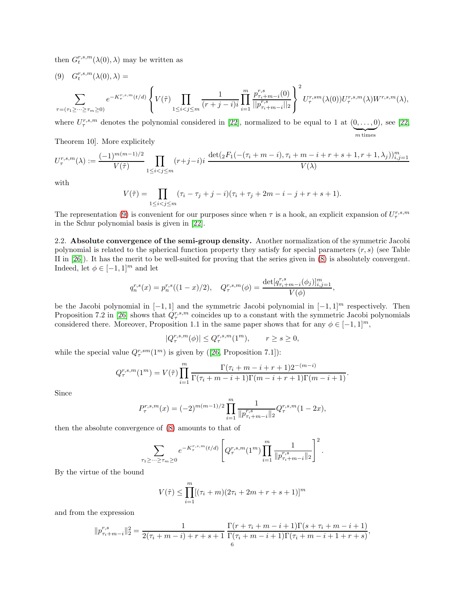then  $G_t^{r,s,m}(\lambda(0),\lambda)$  may be written as

<span id="page-5-0"></span>
$$
(9) \quad G_{t}^{r,s,m}(\lambda(0),\lambda) = \sum_{\tau = (\tau_{1} \geq \dots \geq \tau_{m} \geq 0)} e^{-K_{\tau}^{r,s,m}(t/d)} \left\{ V(\tilde{\tau}) \prod_{1 \leq i < j \leq m} \frac{1}{(r+j-i)i} \prod_{i=1}^{m} \frac{p_{\tau_{i}+m-i}^{r,s}(0)}{||p_{\tau_{i}+m-i}^{r,s}||_{2}} \right\}^{2} U_{\tau}^{r,sm}(\lambda(0)) U_{\tau}^{r,s,m}(\lambda) W^{r,s,m}(\lambda),
$$

where  $U_{\tau}^{r,s,m}$  denotes the polynomial considered in [\[22\]](#page-12-16), normalized to be equal to 1 at  $(0,\ldots,0)$  ${m}$  times ), see [\[22,](#page-12-16)

Theorem 10]. More explicitely

$$
U^{r,s,m}_{\tau}(\lambda) := \frac{(-1)^{m(m-1)/2}}{V(\tilde{\tau})} \prod_{1 \le i < j \le m} (r+j-i)i \frac{\det(\,_2F_1\bigl(-(\tau_i+m-i),\tau_i+m-i+r+s+1,r+1,\lambda_j)\bigr)_{i,j=1}^m}{V(\lambda)}
$$

with

$$
V(\tilde{\tau}) = \prod_{1 \le i < j \le m} (\tau_i - \tau_j + j - i)(\tau_i + \tau_j + 2m - i - j + r + s + 1).
$$

The representation [\(9\)](#page-5-0) is convenient for our purposes since when  $\tau$  is a hook, an explicit expansion of  $U^{r,s,m}_{\tau}$ in the Schur polynomial basis is given in [\[22\]](#page-12-16).

2.2. Absolute convergence of the semi-group density. Another normalization of the symmetric Jacobi polynomial is related to the spherical function property they satisfy for special parameters  $(r, s)$  (see Table II in [\[26\]](#page-12-25)). It has the merit to be well-suited for proving that the series given in [\(8\)](#page-4-2) is absolutely convergent. Indeed, let  $\phi \in [-1, 1]^m$  and let

$$
q_n^{r,s}(x)=p_n^{r,s}((1-x)/2),\quad Q_\tau^{r,s,m}(\phi)=\frac{\det[q_{\tau_i+m-i}^{r,s}(\phi_j)]_{i,j=1}^m}{V(\phi)},
$$

be the Jacobi polynomial in  $[-1, 1]$  and the symmetric Jacobi polynomial in  $[-1, 1]^m$  respectively. Then Proposition 7.2 in [\[26\]](#page-12-25) shows that  $Q^{r,s,m}_{\tau}$  coincides up to a constant with the symmetric Jacobi polynomials considered there. Moreover, Proposition 1.1 in the same paper shows that for any  $\phi \in [-1, 1]^m$ ,

$$
|Q^{r,s,m}_{\tau}(\phi)| \leq Q^{r,s,m}_{\tau}(1^m), \qquad r \geq s \geq 0,
$$

whilethe special value  $Q_{\tau}^{r,sm}(1^m)$  is given by ([\[26,](#page-12-25) Proposition 7.1]):

$$
Q_{\tau}^{r,s,m}(1^m) = V(\tilde{\tau}) \prod_{i=1}^m \frac{\Gamma(\tau_i + m - i + r + 1)2^{-(m-i)}}{\Gamma(\tau_i + m - i + 1)\Gamma(m - i + r + 1)\Gamma(m - i + 1)}.
$$

Since

$$
P_{\tau}^{r,s,m}(x) = (-2)^{m(m-1)/2} \prod_{i=1}^{m} \frac{1}{\|p_{\tau_i+m-i}^{r,s}\|_2} Q_{\tau}^{r,s,m}(1-2x),
$$

then the absolute convergence of [\(8\)](#page-4-2) amounts to that of

$$
\sum_{\tau_1 \geq \dots \geq \tau_m \geq 0} e^{-K_{\tau}^{r,s,m}(t/d)} \left[ Q_{\tau}^{r,s,m}(1^m) \prod_{i=1}^m \frac{1}{\|p_{\tau_i+m-i}^{r,s}\|_2} \right]^2.
$$

By the virtue of the bound

$$
V(\tilde{\tau}) \le \prod_{i=1}^{m} [(\tau_i + m)(2\tau_i + 2m + r + s + 1)]^m
$$

and from the expression

$$
||p_{\tau_i+m-i}^{r,s}||_2^2 = \frac{1}{2(\tau_i+m-i)+r+s+1} \frac{\Gamma(r+\tau_i+m-i+1)\Gamma(s+\tau_i+m-i+1)}{\Gamma(\tau_i+m-i+1)\Gamma(\tau_i+m-i+1+r+s)},
$$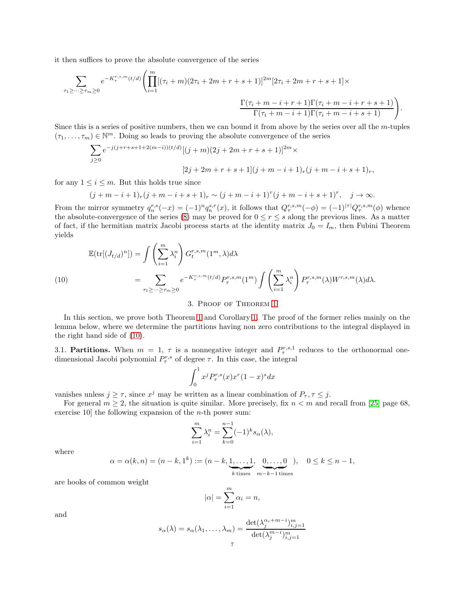it then suffices to prove the absolute convergence of the series

$$
\sum_{\tau_1 \geq \dots \geq \tau_m \geq 0} e^{-K_{\tau}^{r,s,m}(t/d)} \left( \prod_{i=1}^m [(\tau_i + m)(2\tau_i + 2m + r + s + 1)]^{2m} [2\tau_i + 2m + r + s + 1] \times \frac{\Gamma(\tau_i + m - i + r + 1)\Gamma(\tau_i + m - i + r + s + 1)}{\Gamma(\tau_i + m - i + 1)\Gamma(\tau_i + m - i + s + 1)} \right).
$$

Since this is a series of positive numbers, then we can bound it from above by the series over all the m-tuples  $(\tau_1, \ldots, \tau_m) \in \mathbb{N}^m$ . Doing so leads to proving the absolute convergence of the series

$$
\begin{split} \sum_{j\geq 0} e^{-j(j+r+s+1+2(m-i))(t/d)}[(j+m)(2j+2m+r+s+1)]^{2m}\times \\ [2j+2m+r+s+1](j+m-i+1)_r(j+m-i+s+1)_r, \end{split}
$$

for any  $1 \leq i \leq m$ . But this holds true since

$$
(j+m-i+1)_{r}(j+m-i+s+1)_{r} \sim (j+m-i+1)^{r}(j+m-i+s+1)^{r}, \quad j \to \infty.
$$

From the mirror symmetry  $q_n^{r,s}(-x) = (-1)^n q_n^{s,r}(x)$ , it follows that  $Q_\tau^{r,s,m}(-\phi) = (-1)^{|\tau|} Q_\tau^{r,s,m}(\phi)$  whence the absolute-convergence of the series [\(8\)](#page-4-2) may be proved for  $0 \le r \le s$  along the previous lines. As a matter of fact, if the hermitian matrix Jacobi process starts at the identity matrix  $J_0 = I_m$ , then Fubini Theorem yields

<span id="page-6-0"></span>
$$
\mathbb{E}(\text{tr}[(J_{t/d})^n]) = \int \left(\sum_{i=1}^m \lambda_i^n \right) G_t^{r,s,m}(1^m, \lambda) d\lambda
$$
  

$$
= \sum_{\tau_1 \geq \dots \geq \tau_m \geq 0} e^{-K_{\tau}^{r,s,m}(t/d)} P_{\tau}^{r,s,m}(1^m) \int \left(\sum_{i=1}^m \lambda_i^n \right) P_{\tau}^{r,s,m}(\lambda) W^{r,s,m}(\lambda) d\lambda.
$$

3. Proof of Theorem [1](#page-1-1)

In this section, we prove both Theorem [1](#page-1-1) and Corollary [1.](#page-2-1) The proof of the former relies mainly on the lemma below, where we determine the partitions having non zero contributions to the integral displayed in the right hand side of [\(10\)](#page-6-0).

3.1. **Partitions.** When  $m = 1, \tau$  is a nonnegative integer and  $P_{\tau}^{r,s,1}$  reduces to the orthonormal onedimensional Jacobi polynomial  $P^{r,s}_{\tau}$  of degree  $\tau$ . In this case, the integral

$$
\int_0^1 x^j P^{r,s}_{\tau}(x) x^r (1-x)^s dx
$$

vanishes unless  $j \geq \tau$ , since  $x^j$  may be written as a linear combination of  $P_\tau$ ,  $\tau \leq j$ .

For general  $m \geq 2$ , the situation is quite similar. More precisely, fix  $n < m$  and recall from [\[25,](#page-12-17) page 68, exercise 10 the following expansion of the  $n$ -th power sum:

$$
\sum_{i=1}^{m} \lambda_i^n = \sum_{k=0}^{n-1} (-1)^k s_\alpha(\lambda),
$$

where

$$
\alpha = \alpha(k, n) = (n - k, 1^k) := (n - k, \underbrace{1, \dots, 1}_{k \text{ times}}, \underbrace{0, \dots, 0}_{m - k - 1 \text{ times}}), \quad 0 \le k \le n - 1,
$$

are hooks of common weight

$$
|\alpha| = \sum_{i=1}^{m} \alpha_i = n,
$$

and

$$
s_{\alpha}(\lambda) = s_{\alpha}(\lambda_1, \dots, \lambda_m) = \frac{\det(\lambda_j^{\alpha_i+m-i})_{i,j=1}^m}{\det(\lambda_j^{m-i})_{i,j=1}^m}
$$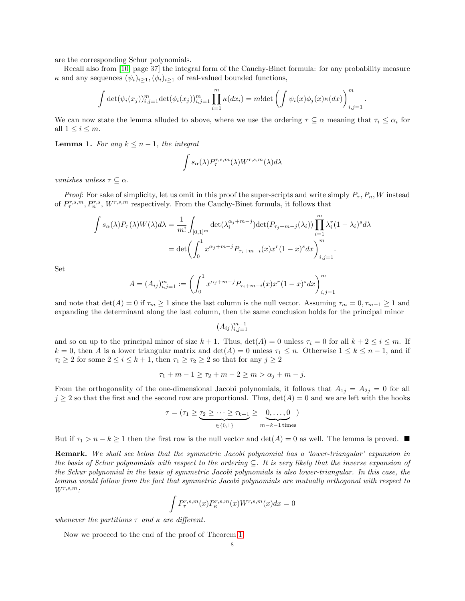are the corresponding Schur polynomials.

Recall also from [\[10,](#page-12-18) page 37] the integral form of the Cauchy-Binet formula: for any probability measure  $\kappa$  and any sequences  $(\psi_i)_{i\geq 1}, (\phi_i)_{i\geq 1}$  of real-valued bounded functions,

$$
\int \det(\psi_i(x_j))_{i,j=1}^m \det(\phi_i(x_j))_{i,j=1}^m \prod_{i=1}^m \kappa(dx_i) = m! \det \left( \int \psi_i(x) \phi_j(x) \kappa(dx) \right)_{i,j=1}^m
$$

.

We can now state the lemma alluded to above, where we use the ordering  $\tau \subseteq \alpha$  meaning that  $\tau_i \leq \alpha_i$  for all  $1 \leq i \leq m$ .

<span id="page-7-0"></span>**Lemma 1.** For any  $k \leq n-1$ , the integral

$$
\int s_{\alpha}(\lambda) P_{\tau}^{r,s,m}(\lambda) W^{r,s,m}(\lambda) d\lambda
$$

vanishes unless  $\tau \subseteq \alpha$ .

*Proof:* For sake of simplicity, let us omit in this proof the super-scripts and write simply  $P<sub>\tau</sub>$ ,  $P<sub>n</sub>$ , W instead of  $P_{\tau}^{r,s,m}, P_{n}^{r,s}, W^{r,s,m}$  respectively. From the Cauchy-Binet formula, it follows that

$$
\int s_{\alpha}(\lambda) P_{\tau}(\lambda) W(\lambda) d\lambda = \frac{1}{m!} \int_{[0,1]^m} \det(\lambda_i^{\alpha_j + m - j}) \det(P_{\tau_j + m - j}(\lambda_i)) \prod_{i=1}^m \lambda_i^r (1 - \lambda_i)^s d\lambda
$$
  
= det  $\left( \int_0^1 x^{\alpha_j + m - j} P_{\tau_i + m - i}(x) x^r (1 - x)^s dx \right)_{i,j=1}^m$ .

Set

$$
A = (A_{ij})_{i,j=1}^m := \left(\int_0^1 x^{\alpha_j + m - j} P_{\tau_i + m - i}(x) x^r (1 - x)^s dx\right)_{i,j=1}^m
$$

and note that  $\det(A) = 0$  if  $\tau_m \ge 1$  since the last column is the null vector. Assuming  $\tau_m = 0, \tau_{m-1} \ge 1$  and expanding the determinant along the last column, then the same conclusion holds for the principal minor

$$
(A_{ij})_{i,j=1}^{m-1}
$$

and so on up to the principal minor of size  $k + 1$ . Thus,  $\det(A) = 0$  unless  $\tau_i = 0$  for all  $k + 2 \leq i \leq m$ . If  $k = 0$ , then A is a lower triangular matrix and  $\det(A) = 0$  unless  $\tau_1 \leq n$ . Otherwise  $1 \leq k \leq n-1$ , and if  $\tau_i \geq 2$  for some  $2 \leq i \leq k+1$ , then  $\tau_1 \geq \tau_2 \geq 2$  so that for any  $j \geq 2$ 

$$
\tau_1 + m - 1 \ge \tau_2 + m - 2 \ge m > \alpha_j + m - j.
$$

From the orthogonality of the one-dimensional Jacobi polynomials, it follows that  $A_{1j} = A_{2j} = 0$  for all  $j \geq 2$  so that the first and the second row are proportional. Thus,  $\det(A) = 0$  and we are left with the hooks

$$
\tau = (\tau_1 \geq \underbrace{\tau_2 \geq \cdots \geq \tau_{k+1}}_{\in \{0,1\}} \geq \underbrace{0,\ldots,0}_{m-k-1 \text{ times}})
$$

But if  $\tau_1 > n - k \ge 1$  then the first row is the null vector and  $\det(A) = 0$  as well. The lemma is proved.

Remark. We shall see below that the symmetric Jacobi polynomial has a 'lower-triangular' expansion in the basis of Schur polynomials with respect to the ordering ⊆. It is very likely that the inverse expansion of the Schur polynomial in the basis of symmetric Jacobi polynomials is also lower-triangular. In this case, the lemma would follow from the fact that symmetric Jacobi polynomials are mutually orthogonal with respect to  $W^{r,s,m}$ :

$$
\int P^{r,s,m}_\tau(x)P^{r,s,m}_\kappa(x)W^{r,s,m}(x)dx=0
$$

whenever the partitions  $\tau$  and  $\kappa$  are different.

Now we proceed to the end of the proof of Theorem [1.](#page-1-1)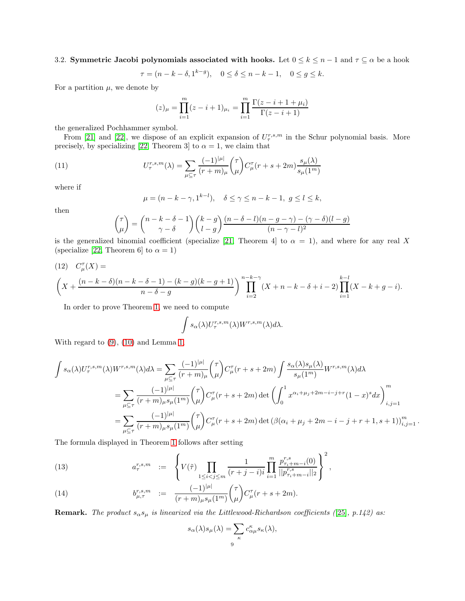3.2. Symmetric Jacobi polynomials associated with hooks. Let  $0 \le k \le n-1$  and  $\tau \subseteq \alpha$  be a hook

$$
\tau = (n - k - \delta, 1^{k - g}), \quad 0 \le \delta \le n - k - 1, \quad 0 \le g \le k.
$$

For a partition  $\mu$ , we denote by

$$
(z)_{\mu} = \prod_{i=1}^{m} (z - i + 1)_{\mu_i} = \prod_{i=1}^{m} \frac{\Gamma(z - i + 1 + \mu_i)}{\Gamma(z - i + 1)}
$$

the generalized Pochhammer symbol.

From [\[21\]](#page-12-19) and [\[22\]](#page-12-16), we dispose of an explicit expansion of  $U^{r,s,m}_{\tau}$  in the Schur polynomial basis. More precisely, by specializing [\[22,](#page-12-16) Theorem 3] to  $\alpha = 1$ , we claim that

(11) 
$$
U_{\tau}^{r,s,m}(\lambda) = \sum_{\mu \subseteq \tau} \frac{(-1)^{|\mu|}}{(r+m)_{\mu}} {\tau \choose \mu} C_{\mu}^{\tau}(r+s+2m) \frac{s_{\mu}(\lambda)}{s_{\mu}(1^m)}
$$

where if

<span id="page-8-2"></span>
$$
\mu = (n - k - \gamma, 1^{k-l}), \quad \delta \le \gamma \le n - k - 1, \ g \le l \le k,
$$

then

$$
\binom{\tau}{\mu} = \binom{n-k-\delta-1}{\gamma-\delta} \binom{k-g}{l-g} \frac{(n-\delta-l)(n-g-\gamma)-(\gamma-\delta)(l-g)}{(n-\gamma-l)^2}
$$

is the generalized binomial coefficient (specialize [\[21,](#page-12-19) Theorem 4] to  $\alpha = 1$ ), and where for any real X (specialize [\[22,](#page-12-16) Theorem 6] to  $\alpha = 1$ )

<span id="page-8-1"></span>(12) 
$$
C_{\mu}^{\tau}(X) =
$$
  
\n
$$
\left(X + \frac{(n-k-\delta)(n-k-\delta-1) - (k-g)(k-g+1)}{n-\delta-g}\right)^{n-k-\gamma} \prod_{i=2}^{n-k-\gamma} (X + n - k - \delta + i - 2) \prod_{i=1}^{k-l} (X - k + g - i).
$$

In order to prove Theorem [1,](#page-1-1) we need to compute

$$
\int s_{\alpha}(\lambda)U_{\tau}^{r,s,m}(\lambda)W^{r,s,m}(\lambda)d\lambda.
$$

With regard to [\(9\)](#page-5-0), [\(10\)](#page-6-0) and Lemma [1,](#page-7-0)

$$
\int s_{\alpha}(\lambda)U_{\tau}^{r,s,m}(\lambda)W^{r,s,m}(\lambda)d\lambda = \sum_{\mu \subseteq \tau} \frac{(-1)^{|\mu|}}{(r+m)_{\mu}} \binom{\tau}{\mu} C_{\mu}^{\tau}(r+s+2m) \int \frac{s_{\alpha}(\lambda)s_{\mu}(\lambda)}{s_{\mu}(1^{m})}W^{r,s,m}(\lambda)d\lambda
$$
  

$$
= \sum_{\mu \subseteq \tau} \frac{(-1)^{|\mu|}}{(r+m)_{\mu}s_{\mu}(1^{m})} \binom{\tau}{\mu} C_{\mu}^{\tau}(r+s+2m) \det \left( \int_{0}^{1} x^{\alpha_{i}+\mu_{j}+2m-i-j+r} (1-x)^{s} dx \right)_{i,j=1}^{m}
$$
  

$$
= \sum_{\mu \subseteq \tau} \frac{(-1)^{|\mu|}}{(r+m)_{\mu}s_{\mu}(1^{m})} \binom{\tau}{\mu} C_{\mu}^{\tau}(r+s+2m) \det (\beta(\alpha_{i}+\mu_{j}+2m-i-j+r+1,s+1))_{i,j=1}^{m}.
$$

The formula displayed in Theorem [1](#page-1-1) follows after setting

<span id="page-8-0"></span>(13) 
$$
a_{\tau}^{r,s,m} := \left\{ V(\tilde{\tau}) \prod_{1 \leq i < j \leq m} \frac{1}{(r+j-i)i} \prod_{i=1}^{m} \frac{p_{\tau_i+m-i}^{r,s}(0)}{||p_{\tau_i+m-i}^{r,s}||_2} \right\}^2,
$$

(14) 
$$
b_{\mu,\tau}^{r,s,m} := \frac{(-1)^{|\mu|}}{(r+m)_{\mu}s_{\mu}(1^m)} {\binom{\tau}{\mu}} C_{\mu}^{\tau}(r+s+2m).
$$

**Remark.** The product  $s_{\alpha}s_{\mu}$  is linearized via the Littlewood-Richardson coefficients ([\[25\]](#page-12-17), p.142) as:

$$
s_{\alpha}(\lambda)s_{\mu}(\lambda) = \sum_{\kappa} c^{\kappa}_{\alpha\mu} s_{\kappa}(\lambda),
$$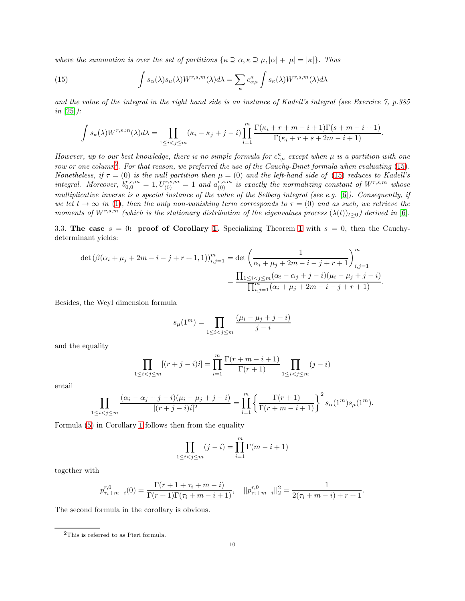where the summation is over the set of partitions  $\{\kappa \supseteq \alpha, \kappa \supseteq \mu, |\alpha| + |\mu| = |\kappa|\}.$  Thus

(15) 
$$
\int s_{\alpha}(\lambda)s_{\mu}(\lambda)W^{r,s,m}(\lambda)d\lambda = \sum_{\kappa} c_{\alpha\mu}^{\kappa} \int s_{\kappa}(\lambda)W^{r,s,m}(\lambda)d\lambda
$$

and the value of the integral in the right hand side is an instance of Kadell's integral (see Exercice 7, p.385  $in [25]$  $in [25]$ :

<span id="page-9-1"></span>
$$
\int s_{\kappa}(\lambda)W^{r,s,m}(\lambda)d\lambda = \prod_{1 \leq i < j \leq m} (\kappa_i - \kappa_j + j - i) \prod_{i=1}^m \frac{\Gamma(\kappa_i + r + m - i + 1)\Gamma(s + m - i + 1)}{\Gamma(\kappa_i + r + s + 2m - i + 1)}.
$$

However, up to our best knowledge, there is no simple formula for  $c_{\alpha\mu}^{\kappa}$  except when  $\mu$  is a partition with one row or one column<sup>[2](#page-9-0)</sup>. For that reason, we preferred the use of the Cauchy-Binet formula when evaluating  $(15)$ . Nonetheless, if  $\tau = (0)$  is the null partition then  $\mu = (0)$  and the left-hand side of [\(15\)](#page-9-1) reduces to Kadell's integral. Moreover,  $b_{0,0}^{r,s,m} = 1, U_{(0)}^{r,s,m} = 1$  and  $a_{(0)}^{r,s,m}$  is exactly the normalizing constant of  $W^{r,s,m}$  whose multiplicative inverse is a special instance of the value of the Selberg integral (see e.g. [\[6\]](#page-12-6)). Consequently, if we let  $t \to \infty$  in [\(1\)](#page-1-1), then the only non-vanishing term corresponds to  $\tau = (0)$  and as such, we retrieve the moments of  $W^{r,s,m}$  (which is the stationary distribution of the eigenvalues process  $(\lambda(t))_{t>0}$ ) derived in [\[6\]](#page-12-6).

3.3. The case  $s = 0$ : proof of Corollary [1.](#page-2-1) Specializing Theorem [1](#page-1-1) with  $s = 0$ , then the Cauchydeterminant yields:

$$
\det (\beta(\alpha_i + \mu_j + 2m - i - j + r + 1, 1))_{i,j=1}^m = \det \left( \frac{1}{\alpha_i + \mu_j + 2m - i - j + r + 1} \right)_{i,j=1}^m
$$

$$
= \frac{\prod_{1 \le i < j \le m} (\alpha_i - \alpha_j + j - i)(\mu_i - \mu_j + j - i)}{\prod_{i,j=1}^m (\alpha_i + \mu_j + 2m - i - j + r + 1)}.
$$

Besides, the Weyl dimension formula

$$
s_{\mu}(1^{m}) = \prod_{1 \leq i < j \leq m} \frac{(\mu_{i} - \mu_{j} + j - i)}{j - i}
$$

and the equality

$$
\prod_{1 \le i < j \le m} [(r + j - i)i] = \prod_{i=1}^m \frac{\Gamma(r + m - i + 1)}{\Gamma(r + 1)} \prod_{1 \le i < j \le m} (j - i)
$$

entail

$$
\prod_{1 \le i < j \le m} \frac{(\alpha_i - \alpha_j + j - i)(\mu_i - \mu_j + j - i)}{[(r + j - i)i]^2} = \prod_{i=1}^m \left\{ \frac{\Gamma(r+1)}{\Gamma(r+m-i+1)} \right\}^2 s_\alpha(1^m) s_\mu(1^m).
$$

Formula [\(5\)](#page-2-0) in Corollary [1](#page-2-1) follows then from the equality

$$
\prod_{1 \le i < j \le m} (j - i) = \prod_{i=1}^m \Gamma(m - i + 1)
$$

together with

$$
p_{\tau_i+m-i}^{r,0}(0) = \frac{\Gamma(r+1+\tau_i+m-i)}{\Gamma(r+1)\Gamma(\tau_i+m-i+1)}, \quad ||p_{\tau_i+m-i}^{r,0}||_2^2 = \frac{1}{2(\tau_i+m-i)+r+1}.
$$

The second formula in the corollary is obvious.

<span id="page-9-0"></span><sup>2</sup>This is referred to as Pieri formula.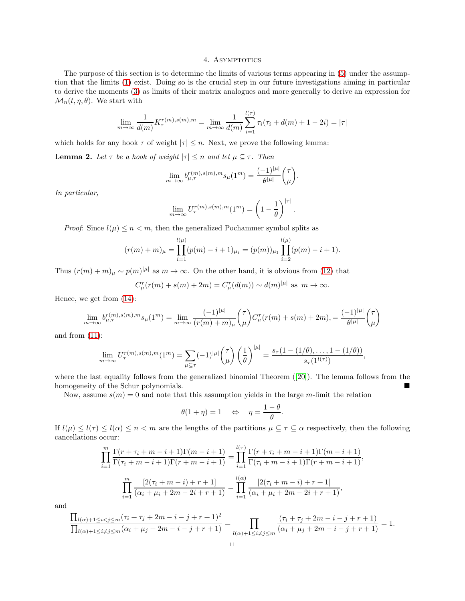## 4. ASYMPTOTICS

The purpose of this section is to determine the limits of various terms appearing in [\(5\)](#page-2-0) under the assumption that the limits [\(1\)](#page-0-1) exist. Doing so is the crucial step in our future investigations aiming in particular to derive the moments [\(3\)](#page-1-2) as limits of their matrix analogues and more generally to derive an expression for  $\mathcal{M}_n(t, \eta, \theta)$ . We start with

$$
\lim_{m \to \infty} \frac{1}{d(m)} K_{\tau}^{r(m), s(m), m} = \lim_{m \to \infty} \frac{1}{d(m)} \sum_{i=1}^{l(\tau)} \tau_i(\tau_i + d(m) + 1 - 2i) = |\tau|
$$

which holds for any hook  $\tau$  of weight  $|\tau| \leq n$ . Next, we prove the following lemma:

**Lemma 2.** Let  $\tau$  be a hook of weight  $|\tau| \leq n$  and let  $\mu \subseteq \tau$ . Then

$$
\lim_{m \to \infty} b_{\mu,\tau}^{r(m),s(m),m} s_{\mu}(1^m) = \frac{(-1)^{|\mu|}}{\theta^{|\mu|}} \binom{\tau}{\mu}.
$$

In particular,

$$
\lim_{m \to \infty} U_{\tau}^{r(m),s(m),m}(1^m) = \left(1 - \frac{1}{\theta}\right)^{|\tau|}.
$$

*Proof:* Since  $l(\mu) \leq n < m$ , then the generalized Pochammer symbol splits as

$$
(r(m) + m)_{\mu} = \prod_{i=1}^{l(\mu)} (p(m) - i + 1)_{\mu_i} = (p(m))_{\mu_1} \prod_{i=2}^{l(\mu)} (p(m) - i + 1).
$$

Thus  $(r(m) + m)_{\mu} \sim p(m)^{|\mu|}$  as  $m \to \infty$ . On the other hand, it is obvious from [\(12\)](#page-8-1) that

$$
C_{\mu}^{\tau}(r(m) + s(m) + 2m) = C_{\mu}^{\tau}(d(m)) \sim d(m)^{|\mu|}
$$
 as  $m \to \infty$ .

Hence, we get from [\(14\)](#page-8-0):

$$
\lim_{m \to \infty} b_{\mu,\tau}^{r(m),s(m),m} s_{\mu}(1^m) = \lim_{m \to \infty} \frac{(-1)^{|\mu|}}{(r(m) + m)_{\mu}} {\tau \choose \mu} C_{\mu}^{\tau}(r(m) + s(m) + 2m) = \frac{(-1)^{|\mu|}}{\theta^{|\mu|}} {\tau \choose \mu}
$$

and from [\(11\)](#page-8-2):

$$
\lim_{m \to \infty} U_{\tau}^{r(m),s(m),m}(1^m) = \sum_{\mu \subseteq \tau} (-1)^{|\mu|} \binom{\tau}{\mu} \left(\frac{1}{\theta}\right)^{|\mu|} = \frac{s_{\tau}(1 - (1/\theta), \dots, 1 - (1/\theta))}{s_{\tau}(1^{l(\tau)})},
$$

where the last equality follows from the generalized binomial Theorem ([\[20\]](#page-12-21)). The lemma follows from the homogeneity of the Schur polynomials.

Now, assume  $s(m) = 0$  and note that this assumption yields in the large m-limit the relation

$$
\theta(1+\eta) = 1 \quad \Leftrightarrow \quad \eta = \frac{1-\theta}{\theta}.
$$

If  $l(\mu) \leq l(\tau) \leq l(\alpha) \leq n < m$  are the lengths of the partitions  $\mu \subseteq \tau \subseteq \alpha$  respectively, then the following cancellations occur:

$$
\prod_{i=1}^{m} \frac{\Gamma(r + \tau_i + m - i + 1)\Gamma(m - i + 1)}{\Gamma(\tau_i + m - i + 1)\Gamma(r + m - i + 1)} = \prod_{i=1}^{l(\tau)} \frac{\Gamma(r + \tau_i + m - i + 1)\Gamma(m - i + 1)}{\Gamma(\tau_i + m - i + 1)\Gamma(r + m - i + 1)},
$$

$$
\prod_{i=1}^{m} \frac{[2(\tau_i + m - i) + r + 1]}{(\alpha_i + \mu_i + 2m - 2i + r + 1)} = \prod_{i=1}^{l(\alpha)} \frac{[2(\tau_i + m - i) + r + 1]}{(\alpha_i + \mu_i + 2m - 2i + r + 1)},
$$

and

$$
\frac{\prod_{l(\alpha)+1\leq i < j \leq m} (\tau_i + \tau_j + 2m - i - j + r + 1)^2}{\prod_{l(\alpha)+1 \leq i \neq j \leq m} (\alpha_i + \mu_j + 2m - i - j + r + 1)} = \prod_{l(\alpha)+1 \leq i \neq j \leq m} \frac{(\tau_i + \tau_j + 2m - i - j + r + 1)}{(\alpha_i + \mu_j + 2m - i - j + r + 1)} = 1.
$$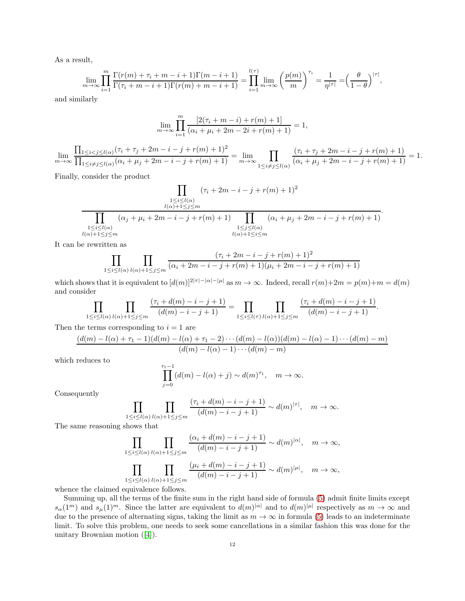As a result,

$$
\lim_{m\to\infty}\prod_{i=1}^m\frac{\Gamma(r(m)+\tau_i+m-i+1)\Gamma(m-i+1)}{\Gamma(\tau_i+m-i+1)\Gamma(r(m)+m-i+1)}=\prod_{i=1}^{l(\tau)}\lim_{m\to\infty}\left(\frac{p(m)}{m}\right)^{\tau_i}=\frac{1}{\eta^{|\tau|}}=\left(\frac{\theta}{1-\theta}\right)^{|\tau|},
$$

and similarly

$$
\lim_{m \to \infty} \prod_{i=1}^{m} \frac{[2(\tau_i + m - i) + r(m) + 1]}{(\alpha_i + \mu_i + 2m - 2i + r(m) + 1)} = 1,
$$

 $\lim_{m\to\infty}$  $\prod_{1 \leq i < j \leq l(\alpha)} (\tau_i + \tau_j + 2m - i - j + r(m) + 1)^2$  $\frac{\prod_{1\leq i < j \leq l(\alpha)}(n_i + \mu_j + 2m - i - j + r(m) + 1)}{\prod_{1\leq i \neq j \leq l(\alpha)}(n_i + \mu_j + 2m - i - j + r(m) + 1)} = \lim_{m \to \infty} \prod_{1 \leq i \neq j \leq k}$  $1\leq i\neq j\leq l(\alpha)$  $\frac{(\tau_i + \tau_j + 2m - i - j + r(m) + 1)}{(\alpha_i + \mu_j + 2m - i - j + r(m) + 1)} = 1.$ 

Finally, consider the product

$$
\prod_{\substack{1 \le i \le l(\alpha) \\ l(\alpha)+1 \le j \le m}} (\tau_i + 2m - i - j + r(m) + 1)^2
$$
  

$$
\prod_{\substack{1 \le i \le l(\alpha) \\ l(\alpha)+1 \le j \le m}} (\alpha_j + \mu_i + 2m - i - j + r(m) + 1) \prod_{\substack{1 \le j \le l(\alpha) \\ l(\alpha)+1 \le i \le m}} (\alpha_i + \mu_j + 2m - i - j + r(m) + 1)
$$

It can be rewritten as

$$
\prod_{1 \le i \le l(\alpha)} \prod_{l(\alpha)+1 \le j \le m} \frac{(\tau_i + 2m - i - j + r(m) + 1)^2}{(\alpha_i + 2m - i - j + r(m) + 1)(\mu_i + 2m - i - j + r(m) + 1)}
$$

which shows that it is equivalent to  $[d(m)]^{2|\tau|-|\alpha|-|\mu|}$  as  $m \to \infty$ . Indeed, recall  $r(m)+2m = p(m)+m = d(m)$ and consider

$$
\prod_{1 \leq i \leq l(\alpha)} \prod_{l(\alpha)+1 \leq j \leq m} \frac{(\tau_i + d(m) - i - j + 1)}{(d(m) - i - j + 1)} = \prod_{1 \leq i \leq l(\tau)} \prod_{l(\alpha)+1 \leq j \leq m} \frac{(\tau_i + d(m) - i - j + 1)}{(d(m) - i - j + 1)}.
$$

Then the terms corresponding to  $i = 1$  are

τ

$$
\frac{(d(m)-l(\alpha)+\tau_1-1)(d(m)-l(\alpha)+\tau_1-2)\cdots(d(m)-l(\alpha))(d(m)-l(\alpha)-1)\cdots(d(m)-m)}{(d(m)-l(\alpha)-1)\cdots(d(m)-m)}
$$

which reduces to

$$
\prod_{j=0}^{\tau_1-1} (d(m) - l(\alpha) + j) \sim d(m)^{\tau_1}, \quad m \to \infty.
$$

Consequently

$$
\prod_{1 \le i \le l(\alpha)} \prod_{l(\alpha)+1 \le j \le m} \frac{(\tau_i + d(m) - i - j + 1)}{(d(m) - i - j + 1)} \sim d(m)^{|\tau|}, \quad m \to \infty.
$$

The same reasoning shows that

$$
\prod_{1 \le i \le l(\alpha)} \prod_{l(\alpha)+1 \le j \le m} \frac{(\alpha_i + d(m) - i - j + 1)}{(d(m) - i - j + 1)} \sim d(m)^{|\alpha|}, \quad m \to \infty,
$$
  

$$
\prod_{1 \le i \le l(\alpha)} \prod_{l(\alpha)+1 \le j \le m} \frac{(\mu_i + d(m) - i - j + 1)}{(d(m) - i - j + 1)} \sim d(m)^{|\mu|}, \quad m \to \infty,
$$

whence the claimed equivalence follows.

Summing up, all the terms of the finite sum in the right hand side of formula [\(5\)](#page-2-0) admit finite limits except  $s_{\alpha}(1^m)$  and  $s_{\mu}(1)^m$ . Since the latter are equivalent to  $d(m)^{|\alpha|}$  and to  $d(m)^{|\mu|}$  respectively as  $m \to \infty$  and due to the presence of alternating signs, taking the limit as  $m \to \infty$  in formula [\(5\)](#page-2-0) leads to an indeterminate limit. To solve this problem, one needs to seek some cancellations in a similar fashion this was done for the unitary Brownian motion([\[4\]](#page-12-11)).